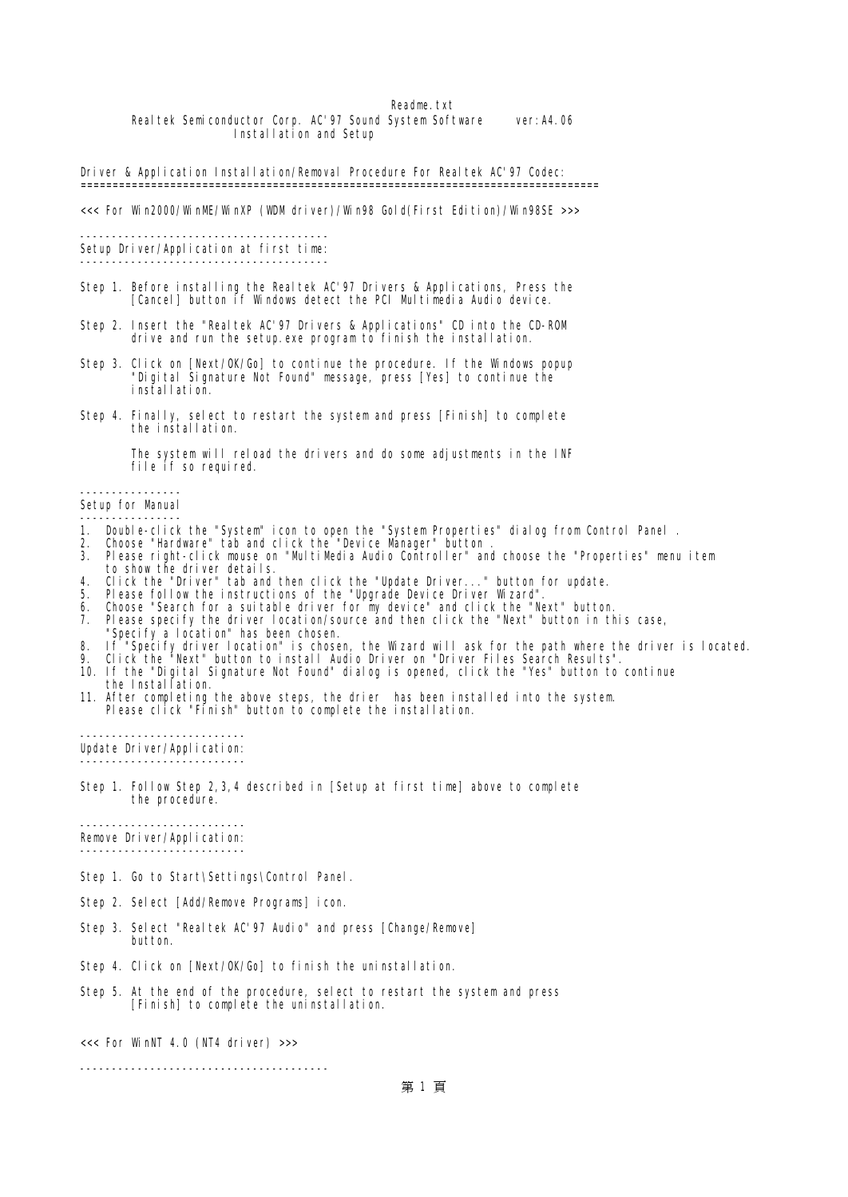### Readme.txt Realtek Semiconductor Corp. AC'97 Sound System Software ver:A4.06 Installation and Setup

Driver & Application Installation/Removal Procedure For Realtek AC'97 Codec: =================================================================================

<<< For Win2000/WinME/WinXP (WDM driver)/Win98 Gold(First Edition)/Win98SE >>>

--------------------------------------- Setup Driver/Application at first time: ---------------------------------------

- Step 1. Before installing the Realtek AC'97 Drivers & Applications, Press the [Cancel] button if Windows detect the PCI Multimedia Audio device.
- Step 2. Insert the "Realtek AC'97 Drivers & Applications" CD into the CD-ROM drive and run the setup.exe program to finish the installation.
- Step 3. Click on [Next/OK/Go] to continue the procedure. If the Windows popup "Digital Signature Not Found" message, press [Yes] to continue the installation.
- Step 4. Finally, select to restart the system and press [Finish] to complete the installation.

 The system will reload the drivers and do some adjustments in the INF file if so required.

----------------

Setup for Manual ----------------

- 1. Double-click the "System" icon to open the "System Properties" dialog from Control Panel .
- 2. Choose "Hardware" tab and click the "Device Manager" button .
- 3. Please right-click mouse on "MultiMedia Audio Controller" and choose the "Properties" menu item to show the driver details.
- 4. Click the "Driver" tab and then click the "Update Driver..." button for update.
- 5. Please follow the instructions of the "Upgrade Device Driver Wizard".
- 6. Choose "Search for a suitable driver for my device" and click the "Next" button.
- 7. Please specify the driver location/source and then click the "Next" button in this case,
- "Specify a location" has been chosen. 8. If "Specify driver location" is chosen, the Wizard will ask for the path where the driver is located.
- 9. Click the "Next" button to install Audio Driver on "Driver Files Search Results".
- 10. If the "Digital Signature Not Found" dialog is opened, click the "Yes" button to continue
- the Installation. 11. After completing the above steps, the drier has been installed into the system. Please click "Finish" button to complete the installation.

-------------------------- Update Driver/Application: --------------------------

Step 1. Follow Step 2,3,4 described in [Setup at first time] above to complete the procedure.

-------------------------- Remove Driver/Application: --------------------------

Step 1. Go to Start\Settings\Control Panel.

- Step 2. Select [Add/Remove Programs] icon.
- Step 3. Select "Realtek AC'97 Audio" and press [Change/Remove] button.
- Step 4. Click on [Next/OK/Go] to finish the uninstallation.
- Step 5. At the end of the procedure, select to restart the system and press [Finish] to complete the uninstallation.

<<< For WinNT 4.0 (NT4 driver) >>>

---------------------------------------

第 1 頁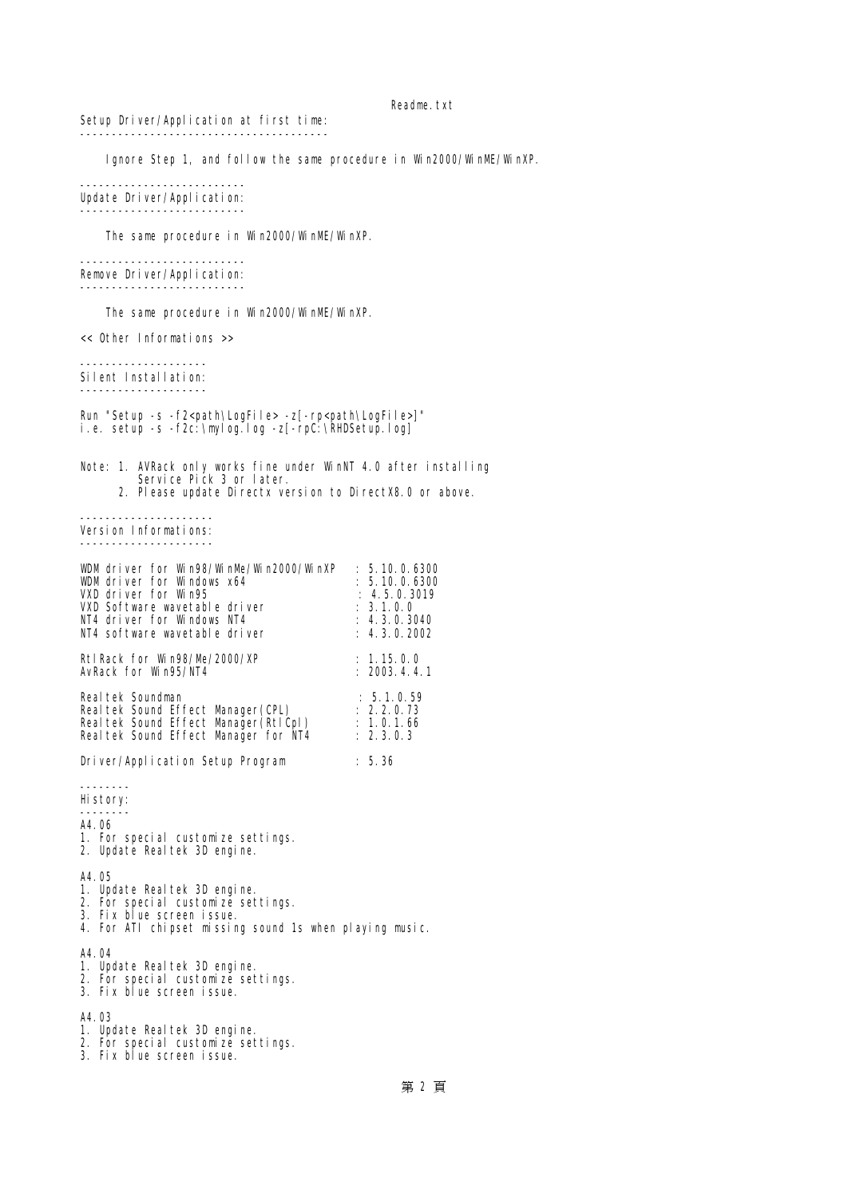Setup Driver/Application at first time: ---------------------------------------

Ignore Step 1, and follow the same procedure in Win2000/WinME/WinXP.

-------------------------- Update Driver/Application: --------------------------

The same procedure in Win2000/WinM/WinXP.

-------------------------- Remove Driver/Application: --------------------------

The same procedure in Win2000/WinME/WinXP.

<< Other Informations >>

-------------------- Silent Installation: --------------------

Run "Setup -s -f2<path\LogFile> -z[-rp<path\LogFile>]" i.e. setup -s -f2c:\mylog.log -z[-rpC:\RHDSetup.log]

Note: 1. AVRack only works fine under WinNT 4.0 after installing Service Pick 3 or later. 2. Please update Directx version to DirectX8.0 or above.

--------------------- Version Informations: ---------------------

| WMdriver for Wn98/WnMe/Wn2000/WnXP          | : 5,10,0.6300         |
|---------------------------------------------|-----------------------|
| <b>WMdriver for Windows x64</b>             | : 5.10, 0.6300        |
| <b>VXD driver for WrA5</b>                  | : 4503019             |
| <b>VXD Software wavetable driver</b>        | : 31.00               |
| NI4 driver for Windows NI4                  | : 430.3040            |
| NI4 software wavetable driver               | : 430202              |
| <b>Rt1Rack for W198/M-/2000/XP</b>          | : 1.15.0.0            |
| <b>AvRack for W195/NI4</b>                  | : 2003.4.41           |
| <b>Real tek Soundnan</b>                    | : 5.1.0.59            |
| <b>Realtek Sound Effect Minager (CH)</b>    | : 220.73              |
| <b>Realtek Sound Effect Munger (RtlCpl)</b> | $\therefore$ 1.0.1.66 |
| <b>Realtek Sound Effect Minager for NI4</b> | : 2303                |
| Driver/Application Setup Program            | : 5.36                |

--------

- History: --------
- A4.06
- 1. For special customize settings.
- 2. Update Realtek 3D engine.

A4.05

- 1. Update Realtek 3D engine.
- 2. For special customize settings.
- 3. Fix blue screen issue.
- 4. For ATI chipset missing sound 1s when playing music.

A4.04

- 1. Update Realtek 3D engine.
- 2. For special customize settings.
- 3. Fix blue screen issue.

A4.03

- 1. Update Realtek 3D engine.
- 2. For special customize settings.
- 3. Fix blue screen issue.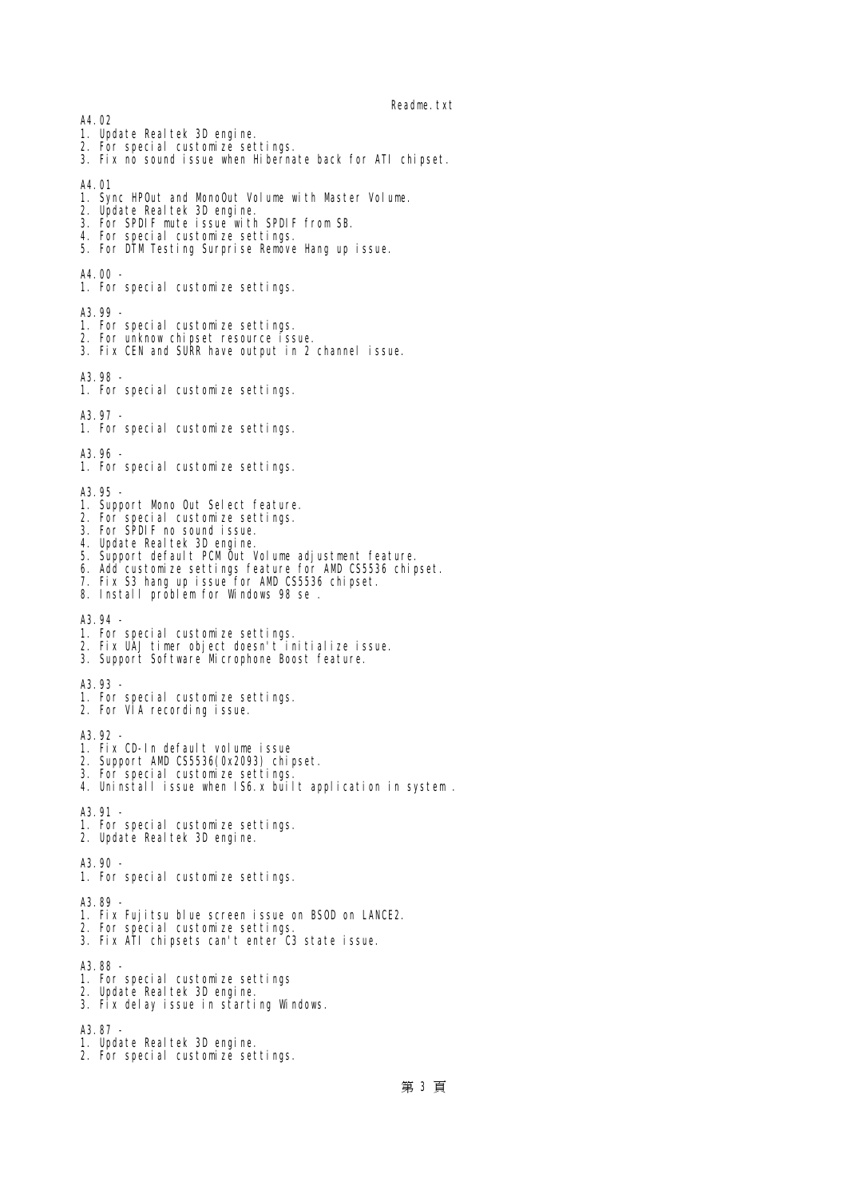A4.02

- 1. Update Realtek 3D engine.
- 2. For special customize settings.
- 3. Fix no sound issue when Hibernate back for ATI chipset.
- A4.01
- 1. Sync HPOut and MonoOut Volume with Master Volume.
- 2. Update Realtek 3D engine.
- 3. For SPIIF mute issue with SPIIF from SB.
- 4. For special customize settings.
- 5. For DTM Testing Surprise Remove Hang up issue.

A4.00 -

1. For special customize settings.

A3.99 -

- 1. For special customize settings.
- 2. For unknow chipset resource issue.
- 3. Fix CEN and SURR have output in 2 channel issue.

A3.98 -

1. For special customize settings.

A3.97 -

1. For special customize settings.

A3.96 -

1. For special customize settings.

A3.95 -

- 1. Support Mono Out Select feature.
- 2. For special customize settings.
- 3. For SPDIF no sound issue.
- 4. Update Realtek 3D engine.
- 5. Support default PCM Out Volume adjustment feature.
- 6. Add customize settings feature for AMD CS5536 chipset.
- 7. Fix S3 hang up issue for AMD CS5536 chipset.
- 8. Install problem for Windows 98 se .

A3.94 -

- 1. For special customize settings.
- 2. Fix UAJ timer object doesn't initialize issue.
- 3. Support Software Mcrophone Boost feature.

A3.93 -

- 1. For special customize settings.
- 2. For VIA recording issue.

A3.92 -

- 1. Fix CD-In default volume issue
- 2. Support AMD CS5536(0x2093) chipset.
- 3. For special customize settings.
- 4. Uninstall issue when IS6.x built application in system .

A3.91 -

- 1. For special customize settings.
- 2. Update Realtek 3D engine.

A3.90 -

1. For special customize settings.

A3.89 -

- 1. Fix Fujitsu blue screen issue on BSOD on LANCE2.
- 2. For special customize settings.
- 3. Fix ATI chipsets can't enter C3 state issue.

A3.88 -

- 1. For special customize settings
- 2. Update Realtek 3D engine.
- 3. Fix delay issue in starting Windows.

A3.87

- 1. Update Realtek 3D engine.
- 2. For special customize settings.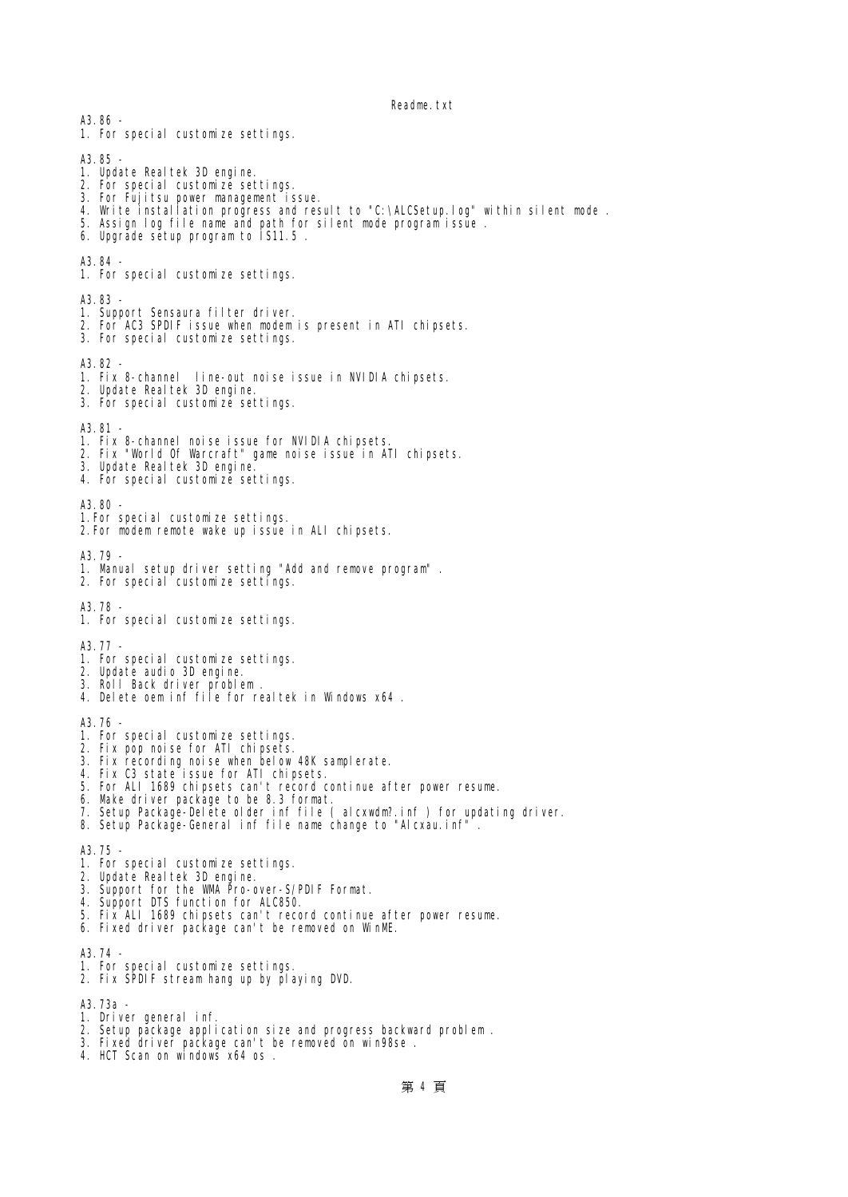1. For special customize settings. A3.85 1. Update Realtek 3D engine. 2. For special customize settings. 3. For Fujitsu power management issue. 4. Write installation progress and result to "C:\ALCSetup.log" within silent mode . 5. Assign log file name and path for silent mode program issue . 6. Upgrade setup program to IS11.5 .  $A2.94$ 1. For special customize settings. A3.83 - 1. Support Sensaura filter driver. 2. For AC3 SPDIF issue when modem is present in ATI chipsets. 3. For special customize settings. A3.82 - 1. Fix 8-channel line-out noise issue in NVIDIA chipsets. 2. Update Realtek 3D engine. 3. For special customize settings. A3.81 - 1. Fix 8-channel noise issue for NVIDIA chipsets. 2. Fix "World Of Warcraft" game noise issue in ATI chipsets. 3. Update Realtek 3D engine. 4. For special customize settings. A3.80 - 1.For special customize settings. 2.For modem remote wake up issue in ALI chipsets. A3.79 - 1. Manual setup driver setting "Add and remove program" . 2. For special customize settings. A3.78 - 1. For special customize settings. A3.77 - 1. For special customize settings. 2. Update audio 3D engine. 3. Roll Back driver problem . 4. Delete oem inf file for realtek in Windows x64 . A3.76 - 1. For special customize settings. 2. Fix pop noise for ATI chipsets. 3. Fix recording noise when below 48K samplerate. 4. Fix C3 state issue for ATI chipsets. 5. For ALI 1689 chipsets can't record continue after power resume. 6. Make driver package to be 8.3 format. 7. Setup Package-Delete older inf file ( alcxwdm?.inf ) for updating driver. 8. Setup Package-General inf file name change to "Alcxau.inf" A3.75 - 1. For special customize settings. 2. Update Realtek 3D engine. 3. Support for the WMA Pro-over-S/PDIF Format. 4. Support DTS function for ALC850. 5. Fix ALI 1689 chipsets can't record continue after power resume. 6. Fixed driver package can't be removed on WinME. A3.74 - 1. For special customize settings. 2. Fix SPDIF stream hang up by playing DVD. A3.73a - 1. Driver general inf.

- 2. Setup package application size and progress backward problem .
- 3. Fixed driver package can't be removed on win98se .
- 4. HCT Scan on windows x64 os .

A3.86 -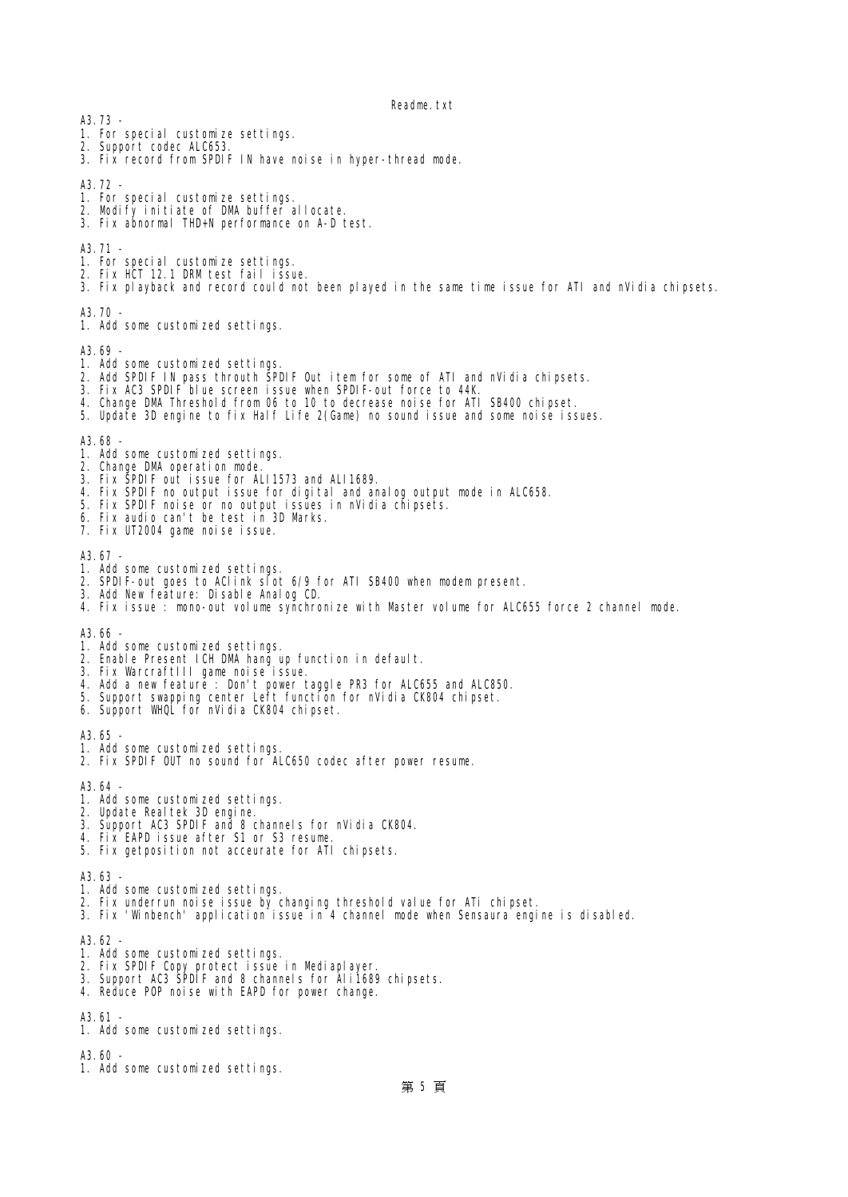A3.73 -

- 1. For special customize settings.
- 2. Support codec ALC653.
- 3. Fix record from SPDIF IN have noise in hyper-thread mode.
- A3.72.
- 1. For special customize settings.
- 2. Modify initiate of IM buffer allocate.
- 3. Fix abnormal THD+N performance on A-D test.

A3.71 -

- 1. For special customize settings.
- 2. Fix HT 12.1 IRM test fail issue.
- 3. Fix playback and record could not been played in the same time issue for ATI and nVidia chipsets.

A3.70 -

1. Add some customized settings.

A3.69

- 1. Add some customized settings.
- 2. Add SPDIF IN pass throuth SPDIF Out item for some of ATI and nVidia chipsets.
- 3. Fix AC3 SPDIF blue screen issue when SPDIF-out force to 44K.
- 4. Change DMA Threshold from 06 to 10 to decrease noise for ATI SB400 chipset.
- 5. Update 3D engine to fix Half Life 2(Game) no sound issue and some noise issues.

#### A3.68 -

- 1. Add some customized settings.
- 2. Change IM operation node.
- 3. Fix SPDIF out issue for ALI1573 and ALI1689.
- 4. Fix SPDIF no output issue for digital and analog output mode in ALC658.
- 5. Fix SPDIF noise or no output issues in nVidia chipsets.
- 6. Fix audio can't be test in 3D Marks.
- 7. Fix UT2004 game noise issue.

A3.67

- 1. Add some customized settings.
- 2. SPDIF-out goes to AClink slot 6/9 for ATI SB400 when modem present.
- 3. Add New feature: Disable Analog CD.
- 4. Fix issue : mono-out volume synchronize with Master volume for ALC655 force 2 channel mode.

A3.66 -

- 1. Add some customized settings.
- 2. Enable Present ICH DMA hang up function in default.
- 3. Fix WarcraftIII game noise issue.
- 4. Add a new feature : Don't power taggle PR3 for ALC655 and ALC850.
- 5. Support swapping center Left function for nVidia CK804 chipset.
- 6. Support WHQL for nVidia CK804 chipset.

A3.65 -

- 1. Add some customized settings.
- 2. Fix SPDIF OUT no sound for ALC650 codec after power resume.

A3.64 -

- 1. Add some customized settings.
- 2. Update Realtek 3D engine.
- 3. Support AC3 SPDIF and 8 channels for nVidia CK804.
- 4. Fix EAPD issue after S1 or S3 resume.
- 5. Fix getposition not acceurate for ATI chipsets.

A3.63 -

- 1. Add some customized settings.
- 2. Fix underrun noise issue by changing threshold value for ATi chipset.
- 3. Fix 'Winbench' application issue in 4 channel mode when Sensaura engine is disabled.

A3.62 -

- 1. Add some customized settings.
- 2. Fix SPDIF Copy protect issue in Mediaplayer.
- 3. Support AC3 SPDIF and 8 channels for Ali1689 chipsets.
- 4. Reduce POP noise with EAPD for power change.

A3.61 -

1. Add some customized settings.

A3.60 -

1. Add some customized settings.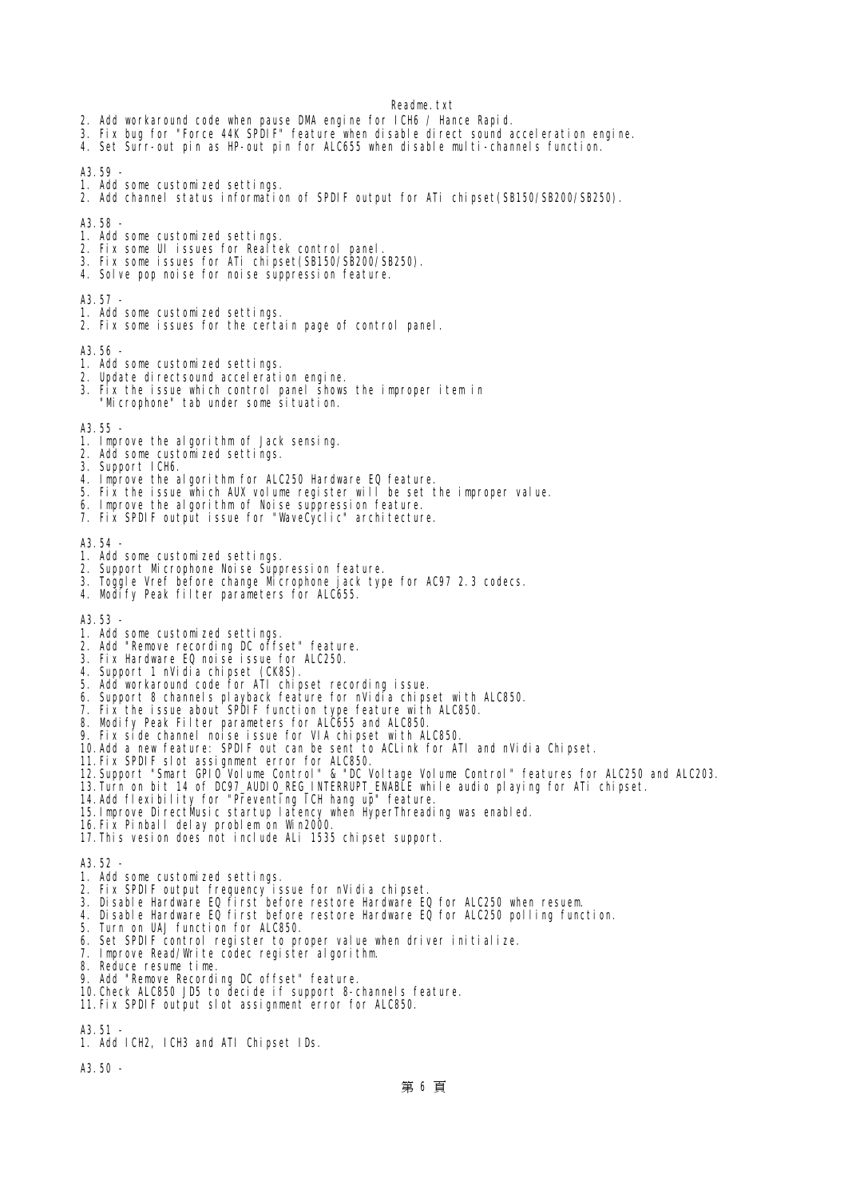- 2. Add workaround code when pause DMA engine for ICH6 / Hance Rapid.
- 3. Fix bug for "Force 44K SPDIF" feature when disable direct sound acceleration engine.
- 4. Set Surr-out pin as HP-out pin for ALC655 when disable multi-channels function.

A3.59 -

- 1. Add some customized settings.
- 2. Add channel status information of SPDIF output for ATi chipset(SB150/SB200/SB250).

A3.58

- 1. Add some customized settings.
- 2. Fix some UI issues for Realtek control panel.
- 3. Fix some issues for ATi chipset(SB150/SB200/SB250).
- 4. Solve pop noise for noise suppression feature.

A3.57 -

- 1. Add some customized settings.
- 2. Fix some issues for the certain page of control panel.

A3.56

- 1. Add some customized settings.
- 2. Update directsound acceleration engine.
- 3. Fix the issue which control panel shows the improper item in
- "Mcrophone" tab under some situation.

A3.55 -

- 1. Improve the algorithm of Jack sensing.
- 2. Add some customized settings.
- 3. Support ICH6.
- 4. Improve the algorithm for ALC250 Hardware EQ feature.
- 5. Fix the issue which AUX volume register will be set the improper value.
- 6. Improve the algorithm of Noise suppression feature.
- 7. Fix SPDIF output issue for "WaveCyclic" architecture.

A3.54 -

- 1. Add some customized settings.
- 2. Support Microphone Noise Suppression feature.
- 3. Toggle Vref before change Microphone jack type for AC97 2.3 codecs.
- 4. Modify Peak filter parameters for ALC655.

A3.53 -

- 1. Add some customized settings.
- 2. Add "Remove recording DC offset" feature.
- 3. Fix Hardware EQ noise issue for ALC250.
- 4. Support 1 nVidia chipset (CK8S).
- 5. Add workaround code for ATI chipset recording issue.
- 6. Support 8 channels playback feature for nVidia chipset with ALC850.
- 
- 7. Fix the issue about SPDIF function type feature with ALC850.
- 8. Modify Peak Filter parameters for ALC655 and ALC850.
- 9. Fix side channel noise issue for VIA chipset with ALC850.
- 10.Add a new feature: SPDIF out can be sent to ACLink for ATI and nVidia Chipset.
- 11. Fix SPIIF slot assignment error for ALC850.
- 12.Support "Smart GPIO Volume Control" & "DC Voltage Volume Control" features for ALC250 and ALC203.
- 13.Turn on bit 14 of DC97\_AUDIO\_REG\_INTERRUPT\_ENABLE while audio playing for ATi chipset.
	- 14.Add flexibility for "Preventing ICH hang up" feature.
	- 15.Improve DirectMusic startup latency when HyperThreading was enabled.
	- 16.Fix Pinball delay problem on Win2000.
	- 17.This vesion does not include ALi 1535 chipset support.

A3.52 -

- 1. Add some customized settings.
- 2. Fix SPDIF output frequency issue for nVidia chipset.
- 3. Disable Hardware EQ first before restore Hardware EQ for ALC250 when resuem.
- 4. Disable Hardware EQ first before restore Hardware EQ for ALC250 polling function.
- 5. Turn on UAJ function for ALC850.
- 6. Set SPDIF control register to proper value when driver initialize.
- 7. Improve Read/Write codec register algorithm.
- 8. Reduce resume time.
- 9. Add "Remove Recording DC offset" feature.
- 10.Check ALC850 JD5 to decide if support 8-channels feature.
- 11. Fix SPIIF output slot assignment error for ALC850.
- A3.51 -
- 1. Add ICH2, ICH3 and ATI Chipset IDs.

A3.50 -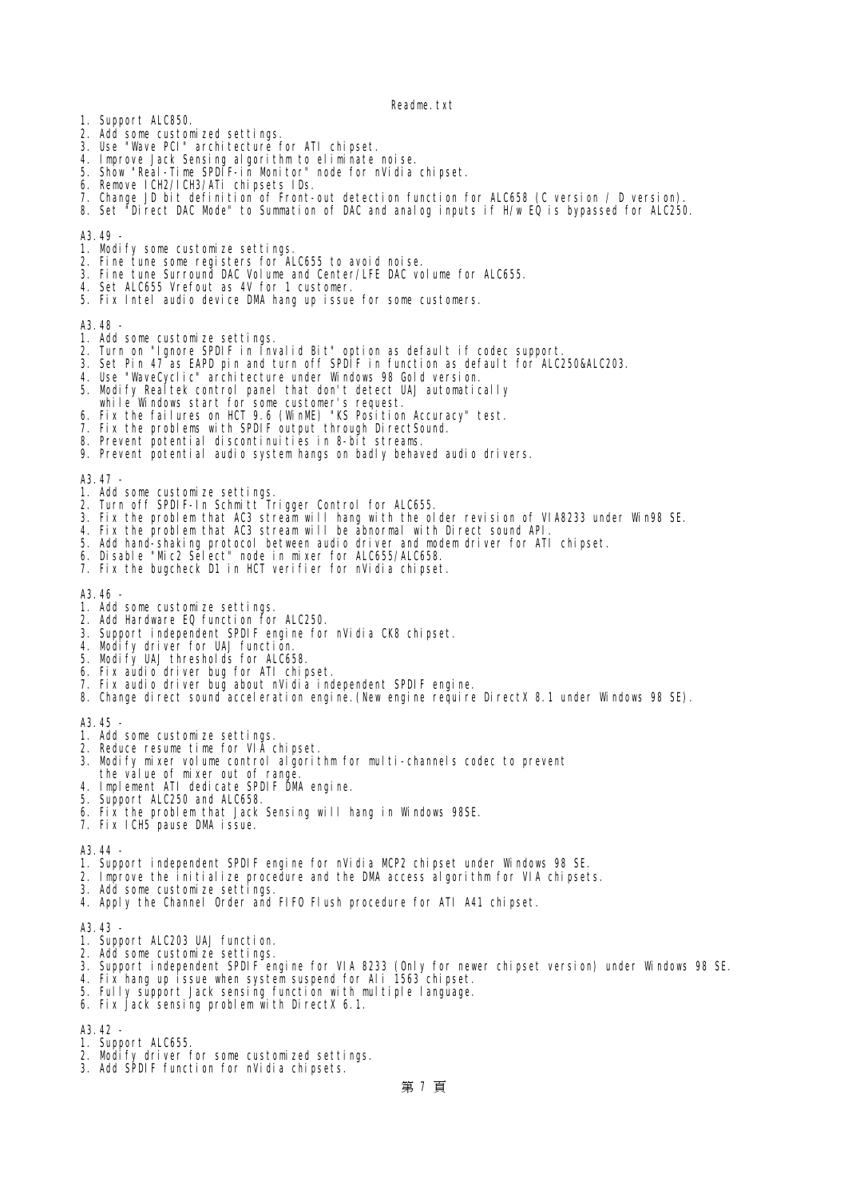- 1. Support ALC850.
- 2. Add some customized settings.
- 3. Use "Wave PCI" architecture for ATI chipset.
- 4. Improve Jack Sensing algorithm to eliminate mise.
- 5. Show "Real-Time SPDIF-in Monitor" node for nVidia chipset.
- 6. Remove ICH2/ICH3/ATi chipsets IDs.
- 7. Change JD bit definition of Front-out detection function for ALC658 (C version / D version).
- 8. Set "Direct DAC Mode" to Summation of DAC and analog inputs if  $H'wDQ$  is bypassed for ALC250.

### A3.49 -

- 1. Modify some customize settings.
- 2. Fine tune some registers for ALC655 to avoid noise.
- 3. Fine tune Surround DAC Volume and Center/LFE DAC volume for ALC655.
- 4. Set ALC655 Vrefout as 4V for 1 customer.
- 5. Fix Intel audio device DMA hang up issue for some customers.

A3.48 -

- 1. Add some customize settings.
- 2. Turn on "Ignore SPDIF in Invalid Bit" option as default if codec support.
- 3. Set Pin 47 as EAPD pin and turn off SPDIF in function as default for ALC250&ALC203.
- 4. Use "WaveCyclic" architecture under Windows 98 Gold version.
- 5. Modify Realtek control panel that don't detect UAJ automatically
- while Windows start for some customer's request.
- 6. Fix the failures on HCT 9.6 (WinME) "KS Position Accuracy" test.
- 7. Fix the problems with SPDIF output through DirectSound.
- 8. Prevent potential discontinuities in 8-bit streams.
- 9. Prevent potential audio system hangs on badly behaved audio drivers.

 $A3.47$ 

- 1. Add some customize settings.
- 2. Turn off SPDIF-In Schmitt Trigger Control for ALC655.
- 3. Fix the problem that AC3 stream will hang with the older revision of VIA8233 under Win98 SE.
- 4. Fix the problem that AC3 stream will be abnormal with Direct sound API.
- 5. Add hand-shaking protocol between audio driver and modem driver for ATI chipset.
- 6. Disable "Mic2 Select" node in mixer for ALC655/ALC658.
- 7. Fix the bugcheck D1 in HCT verifier for nVidia chipset.

A3.46 -

- 1. Add some customize settings.
- 2. Add Hardware EQ function for ALC250.
- 3. Support independent SPDIF engine for nVidia CK8 chipset.
- 4. Modify driver for UAJ function.
- 5. Modify UAJ thresholds for ALC658.
- 6. Fix audio driver bug for ATI chipset.
- 7. Fix audio driver bug about nVidia independent SPDIF engine.
- 8. Change direct sound acceleration engine.(New engine require DirectX 8.1 under Windows 98 SE).

A3.45 -

- 1. Add some customize settings.
- 2. Reduce resume time for VIA chipset.
- 3. Modify mixer volume control algorithm for multi-channels codec to prevent
- the value of mixer out of rang
- 4. Implement ATI dedicate SPIIF DM engine.
- 5. Support ALC250 and ALC658.
- 6. Fix the problem that Jack Sensing will hang in Windows 98SE.
- 7. Fix ICH5 pause DMA issue.

A3.44

- 1. Support independent SPDIF engine for nVidia MCP2 chipset under Windows 98 SE.
- 2. Improve the initialize procedure and the DMA access algorithm for VIA chipsets.
- 3. Add some customize settings.
- 4. Apply the Channel Order and FIFO Flush procedure for ATI A41 chipset.

A3.43 -

- 1. Support ALC203 UAJ function.
- 2. Add some customize settings.
- 3. Support independent SPDIF engine for VIA 8233 (Only for newer chipset version) under Windows 98 SE.
- 4. Fix hang up issue when system suspend for Ali 1563 chipset.
- 5. Fully support Jack sensing function with multiple language.
- 6. Fix Jack sensing problem with DirectX 6.1.

A3.42 -

- 1. Support ALC655.
- 2. Modify driver for some customized settings.
- 3. Add SPDIF function for nVidia chipsets.

第 7 頁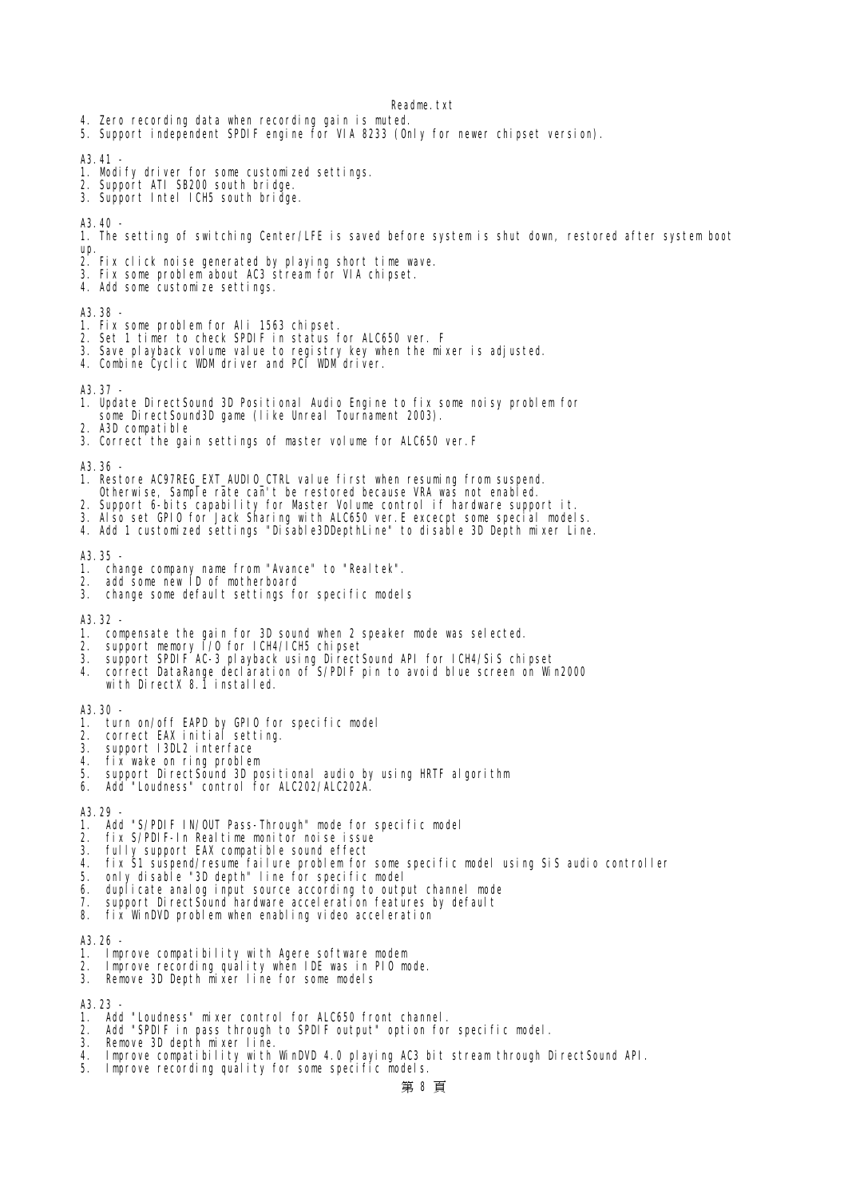- 4. Zero recording data when recording gain is muted.
- 5. Support independent SPDIF engine for VIA 8233 (Only for newer chipset version).

 $A3.41$ 

- 1. Modify driver for some customized settings.
- 2. Support ATI SB200 south bridge.
- 3. Support Intel ICH5 south bridge.

A3.40 -

- 1. The setting of switching Center/LFE is saved before system is shut down, restored after system boot up.
- 2. Fix click noise generated by playing short time wave.
- 3. Fix some problem about AC3 stream for VIA chipset.
- 4. Add some customize settings.

A3.38 -

- 1. Fix some problem for Ali 1563 chipset.
- 2. Set 1 timer to check SPDIF in status for ALC650 ver. F
- 3. Save playback volume value to registry key when the mixer is adjusted.
- 4. Combine Cyclic WDM driver and PCI WDM driver.

A3.37 -

- 1. Update DirectSound 3D Positional Audio Engine to fix some noisy problem for some DirectSound3D game (like Unreal Tournament 2003).
- 2. A3D compatible
- 3. Correct the gain settings of master volume for ALC650 ver.F

A3.36 -

- 1. Restore AC97REG\_EXT\_AUDIO\_CTRL value first when resuming from suspend.
- Otherwise, Sample rate can't be restored because VRA was not enabled.
- 2. Support 6-bits capability for Master Volume control if hardware support it.
- 3. Also set GPIO for Jack Sharing with ALC650 ver.E excecpt some special models.
- 4. Add 1 customized settings "Disable3DDepthLine" to disable 3D Depth mixer Line.

A3.35 -

- 1. change company name from "Avance" to "Realtek".<br>2. add some new ID of metherhoard
- add some new ID of motherboard
- 3. change some default settings for specific models

A3.32 -

- 1. compensate the gain for 3D sound when 2 speaker mode was selected.
- 2. support memory  $\bar{I}/0$  for ICH4/ICH5 chipset
- 3. support SPDIF AC-3 playback using DirectSound API for ICH4/SiS chipset
- 4. correct DataRange declaration of S/PDIF pin to avoid blue screen on Win2000 with DirectX 8.1 installed.

A3.30 -

- 1. turn on/off EAPD by GPIO for specific model
- 2. correct EAX initial setting.
- 3. support I3DL2 interface
- 4. fix wake on ring problem
- 5. support DirectSound 3D positional audio by using HRTF algorithm
- 6. Add "Loudness" control for ALC202/ALC202A.

A3.29

- 1. Add "S/PIIF IN/OUT Pass-Through" mode for specific model<br>2. fix S/PIIF In Realtime monitor moise issue
- fix S/PIIF-In Realtime menitor noise issue
- 3. fully support EAX compatible sound effect
- 4. fix S1 suspend/resume failure problem for some specific model using SiS audio controller
- 5. only disable "3D depth" line for specific model
- 6. duplicate analog input source according to output channel mode
- support DirectSound hardware acceleration features by default
- 8. fix WinDVD problem when enabling video acceleration

A3.26 -

- 1. Improve compatibility with Agere software modem
- 2. Improve recording quality when IDE was in PIO mode.
- 3. Remove 3D Depth mixer line for some models

A3.23

- 1. Add "Loudness" mixer control for ALC650 front channel.
- 2. Add "SPDIF in pass through to SPDIF output" option for specific model.
- 3. Remove 3D depth mixer line.
- 4. Improve compatibility with WinDVD 4.0 playing AC3 bit stream through DirectSound API.
- 5. Improve recording quality for some specific models.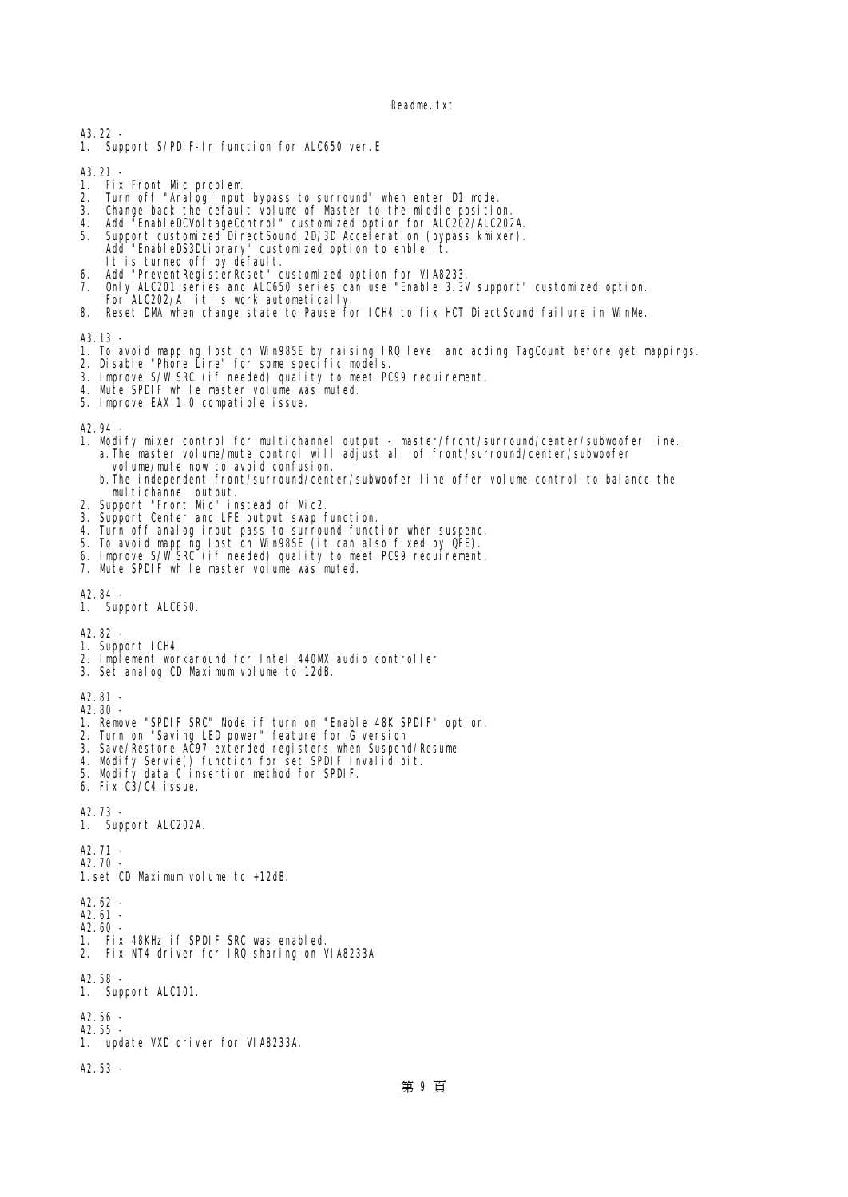A3.22 -

1. Support S/PIIF-In function for ALC650 ver. E

- A3. 21 -<br>1. Fix Front Mc<sub>\_</sub>problem 1. Fix Front Mc problem.
- 2. Turn off "Analog input bypass to surround" when enter D1 mode.
- 3. Change back the default volume of Master to the middle position.
- 4. Add "EnableDCVoltageControl" customized option for ALC202/ALC202A.
- 5. Support customized DirectSound 2D/3D Acceleration (bypass kmixer). Add "EnableDS3DLibrary" customized option to enble it. It is turned off by default.
- 6. Add "PreventRegisterReset" customized option for VIA8233.
- 7. Only ALC201 series and ALC650 series can use "Enable 3.3V support" customized option. For ALC202/A, it is work autometically.
- 8. Reset DM when change state to Pause for ICH4 to fix HCT DiectSound failure in WinMe.

A3.13

- 1. To avoid mapping lost on Win98SE by raising IRQ level and adding TagCount before get mappings.
- 2. Disable "Phone Line" for some specific models.
- 3. Improve S/W SRC (if needed) quality to meet PC99 requirement.
- 4. Mute SPDIF while master volume was muted.
- 5. Improve EAX 1.0 compatible issue.

A2.94

- 1. Modify mixer control for multichannel output master/front/surround/center/subwoofer line. a.The master volume/mute control will adjust all of front/surround/center/subwoofer volume/mute now to avoid confusion.
- b.The independent front/surround/center/subwoofer line offer volume control to balance the multichannel output.
- 2. Support "Front  $\mathbf{Mc}^{\bar{\mathsf{in}}}$  instead of Mc2.
- 3. Support Center and LFE output swap function.
- 4. Turn off analog input pass to surround function when suspend.
- 5. To avoid mapping lost on Win98SE (it can also fixed by QFE).
- 6. Improve S/WSRC (if needed) quality to meet PC99 requirement.
- 7. Mute SPIIF while master volume was muted.

A2.84 -

1. Support ALC650.

A2.82 -

- 1. Support ICH4
- 2. Implement workaround for Intel 440MX audio controller
- 3. Set analog CD Maximum volume to 12dB.

A2.81 -

A2.80 -

- 1. Remove "SPDIF SRC" Node if turn on "Enable 48K SPDIF" option.
- 2. Turn on "Saving LED power" feature for G version
- 3. Save/Restore AC97 extended registers when Suspend/Resume
- 4. Modify Servie() function for set SPDIF Invalid bit.
- 5. Modify data 0 insertion method for SPDIF.
- 6. Fix C3/C4 issue.

A2.73 -

1. Support ALC202A.

A2.71 -

A2.70 - 1. set CD Maximum volume to +12dB.

A2.62 - A2.61 - A2.60 - 1. Fix 48KHz if SPDIF SRC was enabled. 2. Fix NT4 driver for IRQ sharing on VIA8233A

- A2.58 1. Support ALC101.
- 

A2.56 - A2.55 -

1. update VXD driver for VIA8233A.

A2.53 -